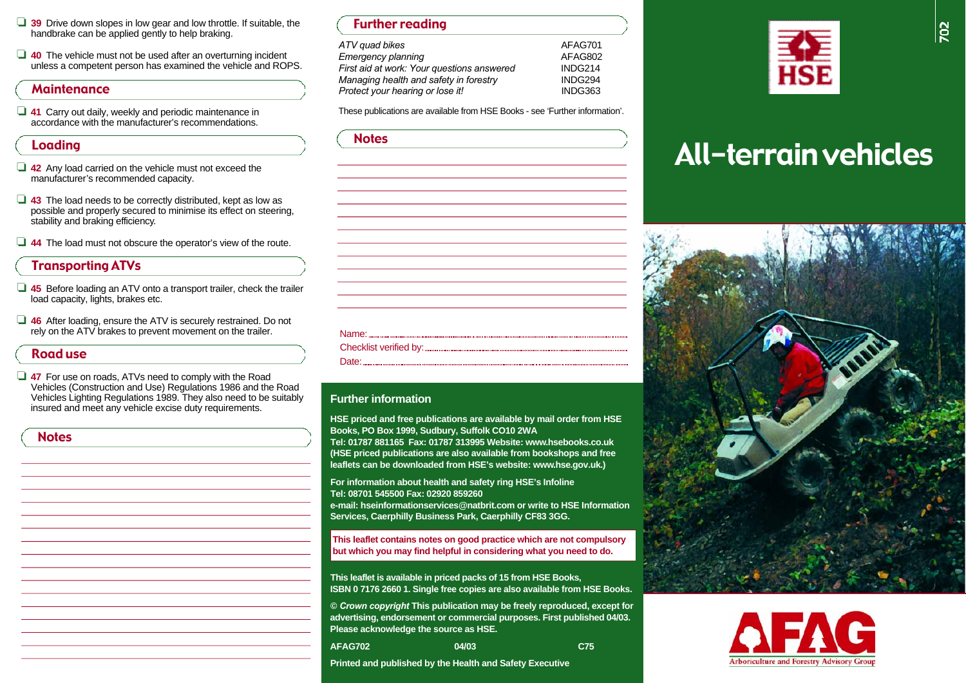- □ 39 Drive down slopes in low gear and low throttle. If suitable, the handbrake can be applied gently to help braking.
- ❏ **4 0** The vehicle must not be used after an overturning incident unless a competent person has examined the vehicle and ROPS.

#### **Maintenance**

❏ **4 1** Carry out daily, weekly and periodic maintenance in accordance with the manufacturer's recommendations.

#### Loading

- **42** Any load carried on the vehicle must not exceed the m an ufacturer's recommended capacity.
- ❏ **4 3** The load needs to be correctly distributed, kept as low as possible and properly secured to minimise its effect on steering, stability and braking efficiency.
- ❏ **4 4** The load must not obscure the operator's view of the route.

# Transporting ATVs

- □ 45 Before loading an ATV onto a transport trailer, check the trailer load capacity, lights, brakes etc.
- ❏ **4 6** After loading, ensure the ATV is securely restrained. Do not rely on the ATV brakes to prevent movement on the trailer.

# **Road use Example 2018 Date: Chang 2018 Date: Date:**

❏ **4 7** For use on roads, ATVs need to comply with the Road Vehicles (Construction and Use) Regulations 1986 and the Road Vehicles Lighting Regulations 1989. They also need to be suitably insured and meet any vehicle excise duty requirements.

| ×<br>w<br>. .<br>o m<br>۰.<br>۰.<br>٧ |
|---------------------------------------|
|---------------------------------------|

| <b>Further reading</b> |  |
|------------------------|--|
| 4 <i>TV quad bikes</i> |  |
| Emergency planning     |  |

*Emergency planning* A FA G 8 0 2 *First aid at work: Your questions answered* **INDG214** *Managing health and safety in forestry* **INDG294** *Protect your hearing or lose it!* I N D G 3 6 3

These publications are available from HSE Books - see 'Further information'.

 $AFAG 701$ 

| <b>Notes</b> |  |  |
|--------------|--|--|
|              |  |  |
|              |  |  |
|              |  |  |
|              |  |  |
|              |  |  |
|              |  |  |
|              |  |  |
|              |  |  |
|              |  |  |
|              |  |  |
|              |  |  |
|              |  |  |
|              |  |  |
|              |  |  |
|              |  |  |
|              |  |  |
|              |  |  |
|              |  |  |

#### **Further information**

**HSE priced and free publications are available by mail order from HSE Books, PO Box 1999, Sudbury, Suffolk CO10 2WA** 

Tel: 01787 881165 Fax: 01787 313995 Website: www.hsebooks.co.uk **(HSE priced publications are also available from bookshops and free**  leaflets can be downloaded from HSE's website: www.hse.gov.uk.)

**For information about health and safety ring HSE's Infoline Tel: 08701 545500 Fax: 02920 859260 e-mail: hseinformationservices@natbrit.com or write to HSE Information** 

**Services, Caerphilly Business Park, Caerphilly CF83 3GG.** 

**This leaflet contains notes on good practice which are not compulsory but which you may find helpful in considering what you need to do.** 

**This leaflet is available in priced packs of 15 from HSE Books, ISBN 0 7176 2660 1. Single free copies are also available from HSE Books.** 

**©** *Crown copyright* **This publication may be freely reproduced, except for advertising, endorsement or commercial purposes. First published 04/03. Please acknowledge the source as HSE.** 

04/03 **A FA G 7 0 2 04 0 3 C7 5** 

**Printed and published by the Health and Safety Executive** 



# All-terrain vehicles